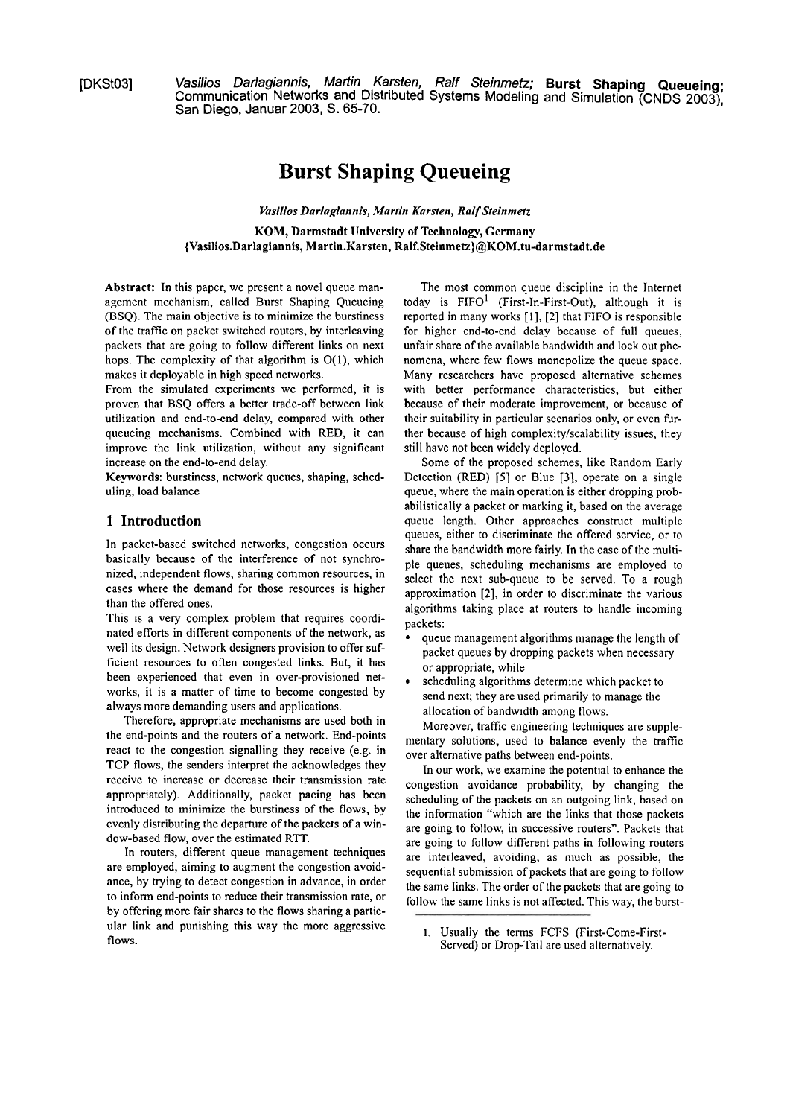[DKSt03] **Vasilios Darlagiannis, Martin Karsten, Ralf Steinmetz; Burst Shaping Queueing** ; Communication Networks and Distributed Systems Modeling and Simulation (CNDS 2003), San Diego, Januar 2003, S. 65-70.

# **Burst Shaping Queueing**

*Vasilios Darlagiannis, Martin Karsten, Ralf Steinmetz*  KOM, Darmstadt University of Technology, Germany {Vasilios.Darlagiannis, Martin.Karsten, **Ralf.Steinmetz)@KOM.tu-darmstadt.de** 

Abstract: In this paper, we present a novel queue management mechanism, called Burst Shaping Queueing (BSQ). The main objective is to minimize the burstiness of the traffic on packet switched routers, by interleaving packets that are going to follow different links on next hops. The complexity of that algorithm is **0(1),** which makes it deployable in high speed networks.

From the simulated experiments we performed, it is proven that BSQ offers a better trade-off between link utilization and end-to-end delay, compared with other queueing mechanisms. Combined with RED, it can improve the link utilization, without any significant increase on the end-to-end delay.

Keywords: burstiness, network queues, shaping, scheduling, load balance

### **1 Introduction**

In packet-based switched networks, congestion occurs basically because of the interference of not synchronized, independent flows, sharing common resources, in cases where the demand for those resources is higher than the offered ones.

This is a very complex problem that requires coordinated efforts in different components of the network, as well its design. Network designers provision to offer sufficient resources to often congested links. But, it has been experienced that even in over-provisioned networks, it is a matter of time to become congested by always more demanding users and applications.

Therefore, appropriate mechanisms are used both in the end-points and the routers of a network. End-points react to the congestion signalling they receive (e.g. in TCP flows, the senders interpret the acknowledges they receive to increase or decrease their transmission rate appropriately). Additionally, packet pacing has been introduced to minimize the burstiness of the flows, by evenly distributing the departure of the packets of a window-based flow, over the estimated RTT.

In routers, different queue management techniques are employed, aiming to augment the congestion avoidance, by trying to detect congestion in advance, in order to inform end-points to reduce their transmission rate, or by offering more fair shares to the flows sharing a particular link and punishing this way the more aggressive flows.

The most common queue discipline in the Internet today is  $FIFO<sup>1</sup>$  (First-In-First-Out), although it is reported in many works **[I], [2]** that FIFO is responsible for higher end-to-end delay because of full queues, unfair share of the available bandwidth and lock out phenomena, where few flows monopolize the queue space. Many researchers have proposed alternative schemes with better performance characteristics, but either because of their moderate improvement, or because of their suitability in particular scenarios only, or even fürther because of high complexity/scalability issues, they still have not been widely deployed.

Some of the proposed schemes, like Random Early Detection (RED) **[5]** or Blue **[3],** operate on a single queue, where the main operation is either dropping probabilistically a packet or marking it, based on the average queue length. Other approaches construct multiple queues, either to discriminate the offered service, or to share the bandwidth more fairly. In the case of the multiple queues, scheduling mechanisms are employed to select the next sub-queue to be served. To a rough approximation **[2],** in order to discriminate the vanous algorithms taking place at routers to handle incoming packets:

- queue management algorithms manage the length of packet queues by dropping packets when necessary or appropriate, while
- scheduling algorithms determine which packet to send next; they are used primarily to manage the allocation of bandwidth among flows.

Moreover, traffic engineering techniques are supplementary solutions, used to balance evenly the trafic over alternative paths between end-points.

In our work, we examine the potential to enhance the congestion avoidance probability, by changing the scheduling of the packets on an outgoing link, based on the information "which are the links that those packets are going to follow, in successive routers". Packets that are going to follow different paths in following routers are interleaved, avoiding, as much as possible, the sequential submission of packets that are going to follow the same links. The order of the packets that are going to follow the same links is not affected. This way, the burst-

**I.** Usually the terms FCFS (First-Come-First-Served) or Drop-Tail are used alternatively.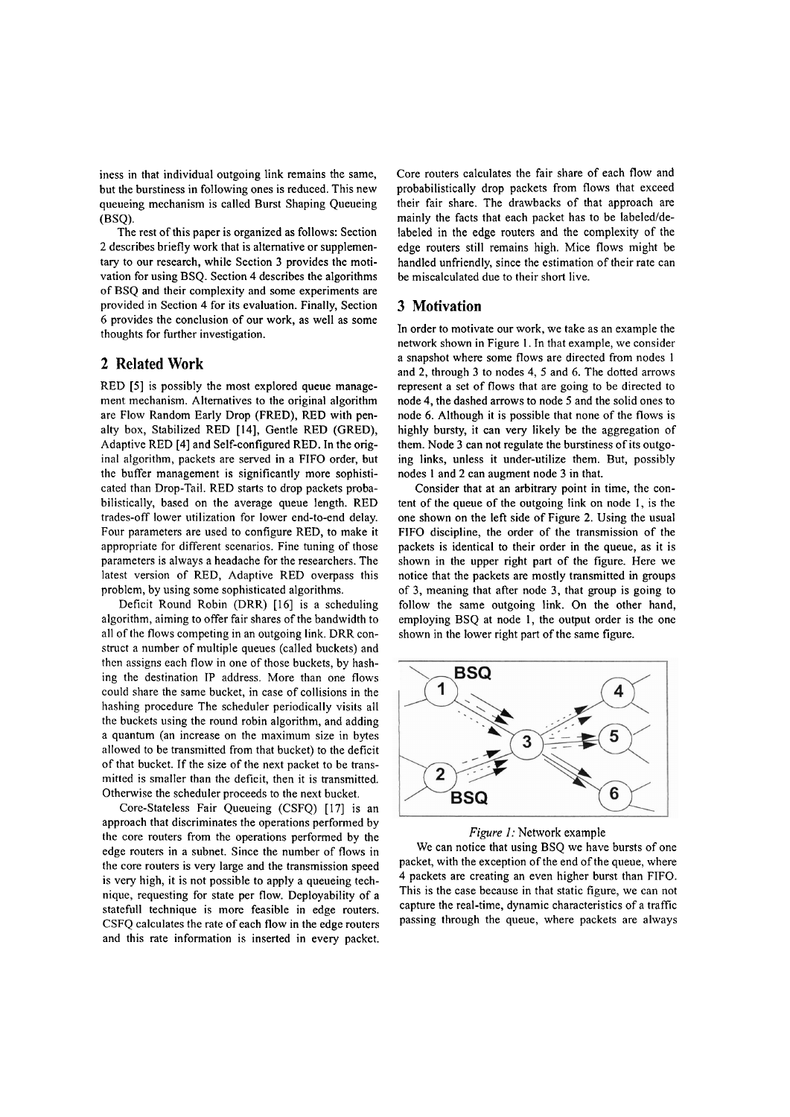iness in that individual outgoing link remains the Same, but the burstiness in following ones is reduced. This new queueing mechanism is called Burst Shaping Queueing (BSQ).

The rest of this paper is organized as follows: Section 2 describes briefly work that is alternative or supplementary to our research, while Section 3 provides the motivation for using BSQ. Section 4 describes the algorithms of BSQ and their complexity and some experiments are provided in Section 4 for its evaluation. Finally, Section 6 provides the conclusion of our work, as well as some thoughts for further investigation.

### **2 Related Work**

RED [5] is possibly the most explored queue management mechanism. Alternatives to the original algorithm are FIow Random Early Drop (FRED), RED with penalty box, Stabilized RED [14], Gentle RED (GRED), Adaptive RED [4] and Self-configured RED. In the original algorithm, packets are served in a FIFO order, but the buffer management is significantly more sophisticated than Drop-Tail. RED Starts to drop packets probabilistically, based on the average queue length. RED trades-off lower utilization for lower end-to-end delay. Four parameters are used to configure RED, to make it appropriate for different scenarios. Fine tuning of those parameters is always a headache for the researchers. The latest version of RED, Adaptive RED overpass this problem, by using some sophisticated algorithms.

Deficit Round Robin (DRR) [I61 is a scheduling algorithm, aiming to offer fair Shares of the bandwidth to all of the flows competing in an outgoing link. DRR construct a number of multiple queues (called buckets) and thcn assigns each flow in one of those buckets, by hashing thc destination IP address. More than one flows could share the Same bucket, in case of collisions in the hashing procedure The scheduler periodically visits all the buckets using the round robin algorithm, and adding a quantum (an increase on the maximum size in bytes allowed to be transmitted from that bucket) to the deficit of that bucket. If the size of the next packet to be transmitted is smaller than the deficit, then it is transmitted. Otherwise the scheduler proceeds to the next bucket.

Core-Stateless Fair Queueing (CSFQ) [I71 is an approach that discriminates the operations performed by the core routers from the operations performed by the edge routers in a subnet. Since the number of flows in the core routers is very large and the transmission speed is very high, it is not possible to apply a queueing technique, requesting for state per flow. Deployability of a statefull technique is more feasible in edge routers. CSFQ calculates the rate of each flow in the edge routers and this rate information is inserted in every packet.

Core routers calculates the fair share of each flow and probabilistically drop packets from flows that exceed their fair share. The drawbacks of that approach are mainly the facts that each packet has to be labeled/delabeled in the edge routers and the complexity of the edge routers still remains high. Mice flows might be handled unfriendly, since the estimation of their rate can be miscalculated due to their short live.

### **3 Motivation**

In order to motivate our work, we take as an example the network shown in Figure 1. In that example, we consider a snapshot where some flows are directed from nodes 1 and 2, through 3 to nodes 4, 5 and 6. The dotted arrows represent a set of flows that are going to be directed to node 4, the dashed arrows to node 5 and the solid ones to node 6. Although it is possible that none of the flows is highly bursty, it can very likely be the aggregation of them. Node 3 can not regulate the burstiness of its outgoing links, unless it under-utilize them. But, possibly nodes 1 and 2 can augment node 3 in that.

Consider that at an arbitrary point in time, the content of the queue of the outgoing link on node 1, is the one shown on the left side of Figure 2. Using the usual FIFO discipline, the order of the transmission of the packets is identical to their order in the queue, as it is shown in the upper right part of the figure. Here we notice that the packets are mostly transmitted in groups of 3, meaning that after node 3, that group is going to follow the same outgoing link. On the other hand, employing BSQ at node 1, the output order is the one shown in the lower right part of the same figure.





We can notice that using BSQ we have bursts of one packet, with the exception of the end of the queue, where 4 packets are creating an even higher burst than FIFO. This is the case because in that static figure, we can not capture the real-time, dynamic characteristics of a traffic passing through the queue, where packets are always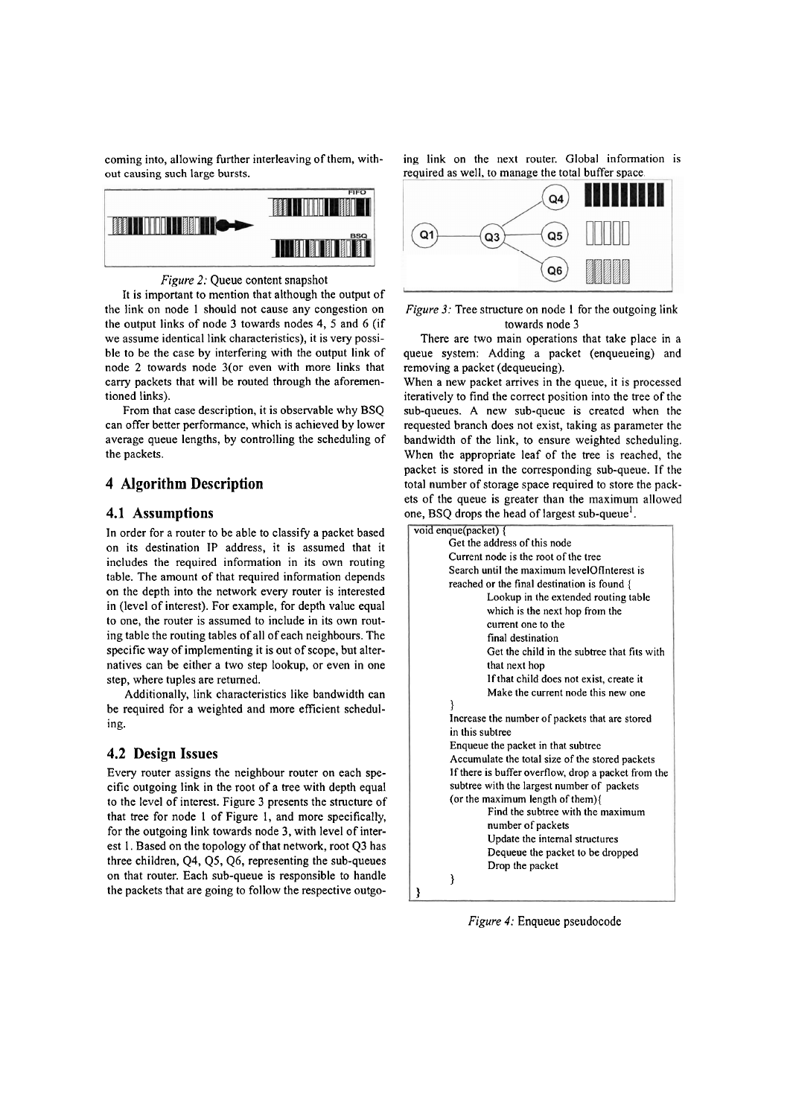out causing such large bursts. The such as well, to manage the total buffer space,



*Figure 2:* Queue content snapshot

It is important to mention that although the output of the link on node 1 should not cause any congestion on the output links of node 3 towards nodes 4, 5 and 6 (if we assume identical link characteristics), it is very possible to be the case by interfering with the output link of node **2** towards node 3(or even with more links that carry packets that will be routed through the aforementioned links).

From that case description, it is observable why BSQ can offer better performance, which is achieved by lower average queue lengths, by controlling the scheduling of the packets.

## **4 Algorithm Description**

### **4.1 Assump tions**

In order for a router to be able to classify a packet based on its destination **IP** address, it is assumed that it includes the required information in its own routing table. The amount of that required information depends on the depth into the network every router is interested in (level of interest). For example, for depth value equal to one, the router is assumed to include in its own routing table the routing tables of all of each neighbours. The specific way of implementing it is out of scope, but alternatives can be either a two step lookup, or even in one step, where tuples are returned.

Additionally, link characteristics like bandwidth can be required for a weighted and more efficient scheduling.

### **4.2 Design Issues**

Every router assigns the neighbour router on each specific outgoing link in the root of a tree with depth equal to the level of interest. Figure 3 presents the structure of that tree for node 1 of Figure 1, and more specifically, for the outgoing link towards node **3,** with level of interest 1. Based on the topology of that network, root Q3 has three children,  $Q4$ ,  $Q5$ ,  $Q6$ , representing the sub-queues on that router. Each sub-queue is responsible to handle the packets that are going to follow the respective outgo-

coming into, allowing further interleaving of them, with- ing link on the next router. Global information is





There are two main operations that take place in a queue System: Adding a packet (enqueueing) and removing a packet (dequeueing).

When a new packet arrives in the queue, it is processed iteratively to find the correct position into the tree of the sub-queues. A new sub-queue is created when the requested branch does not exist, taking as parameter the bandwidth of the link, to ensure weighted scheduling. When the appropriate leaf of the tree is reached, the packet is stored in the corresponding sub-queue. If the total number of storage space required to store the packets of the queue is greater than the maximum allowed one, BSQ drops the head of largest sub-queue'.

| void enque(packet) {                                |
|-----------------------------------------------------|
| Get the address of this node                        |
| Current node is the root of the tree                |
| Search until the maximum levelOfInterest is         |
| reached or the final destination is found {         |
| Lookup in the extended routing table                |
| which is the next hop from the                      |
| current one to the                                  |
| final destination                                   |
| Get the child in the subtree that fits with         |
| that next hop                                       |
| If that child does not exist, create it             |
| Make the current node this new one                  |
| ₹                                                   |
| Increase the number of packets that are stored      |
| in this subtree                                     |
| Enqueue the packet in that subtree                  |
| Accumulate the total size of the stored packets     |
| If there is buffer overflow, drop a packet from the |
| subtree with the largest number of packets          |
| (or the maximum length of them){                    |
| Find the subtree with the maximum                   |
| number of packets                                   |
| Update the internal structures                      |
| Dequeue the packet to be dropped                    |
| Drop the packet                                     |
| ł                                                   |
|                                                     |

*Figure 4:* Enqueue pseudocode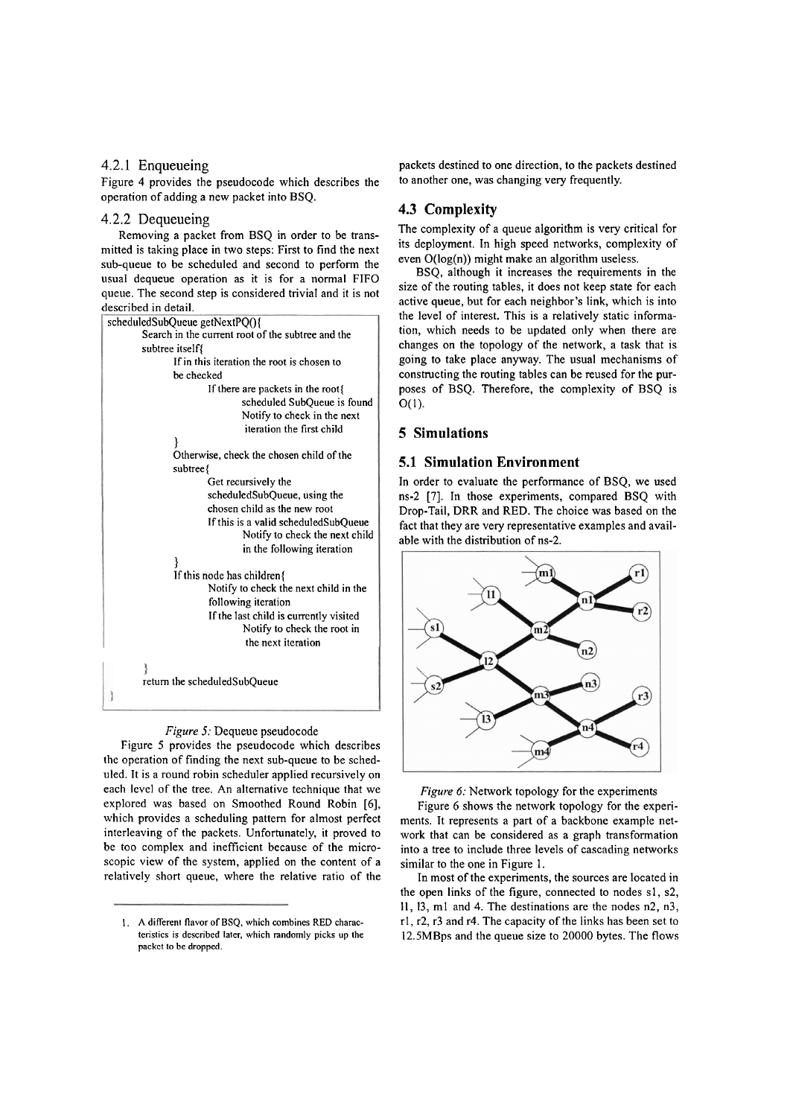### 4.2.1 Enqueueing

Figure 4 provides the pseudocode which describes the operation of adding a new packet into BSQ.

#### 4.2.2 Dequeueing

Removing a packet from BSQ in order to be transmitted is taking place in two steps: First to find the next sub-queue to be scheduled and second to perform the usual dequeue operation as it is for a normal FIFO queue. The second step is considered trivial and it is not described in detail.



#### *Figure 5:* Dequeue pseudocode

Figure 5 provides the pseudocode which describes the operation of finding the next sub-queue to be scheduled. It is a round robin scheduler applied recursively on each level of the tree. **An** alternative technique that we explored was based on Smoothed Round Robin [6], which provides a scheduling pattern for almost perfect interleaving of the packets. Unfortunately, it proved to be too complex and inefficient because of the microscopic view of the system, applied on the content of a relatively short queue, where the relative ratio of the packets destined to one direction, to the packets destined to another one, was changing very frequently.

### **4.3 Complexity**

The complexity of a queue algorithm is very critical for its deployment. In high speed networks, complexity of even O(log(n)) might make an algorithm useless.

BSQ, although it increases the requirements in the size of the routing tables, it does not keep state for each active queue, but for each neighbor's link, which is into the level of interest. This is a relatively static information, which needs to be updated only when there are changes on the topology of the network, a task that is going to take place anyway. The usual mechanisms of constructing the routing tables can be reused for the purposes of BSQ. Therefore, the complexity of BSQ is  $O(1)$ .

### **5 Simulations**

#### **5.1 Simulation Environment**

In order to evaluate the performance of BSQ, we used ns-2 [7]. In those experiments, compared BSQ with Drop-Tail, DRR and RED. The choice was based on the fact that they are very representative examples and available with the distribution of ns-2.



*Figure 6:* Network topology for the experiments

Figure 6 shows the network topology for the experiments. It represents a part of a backbone example network that can be considered as a graph transformation into a tree to include three levels of cascading networks similar to the one in Figure 1.

In most of the experiments, the sources are located in the open links of the figure, connected to nodes s1, s2, 11, 13, ml and 4. The destinations are the nodes n2, n3, rl, r2, r3 and r4. The capacity of the links has been Set to 12.5MBps and the queue size to 20000 bytes. The flows

I. **A** different flavor of BSQ, which combines RED characteristics is described later, which randomly picks **up** the packet to be dropped.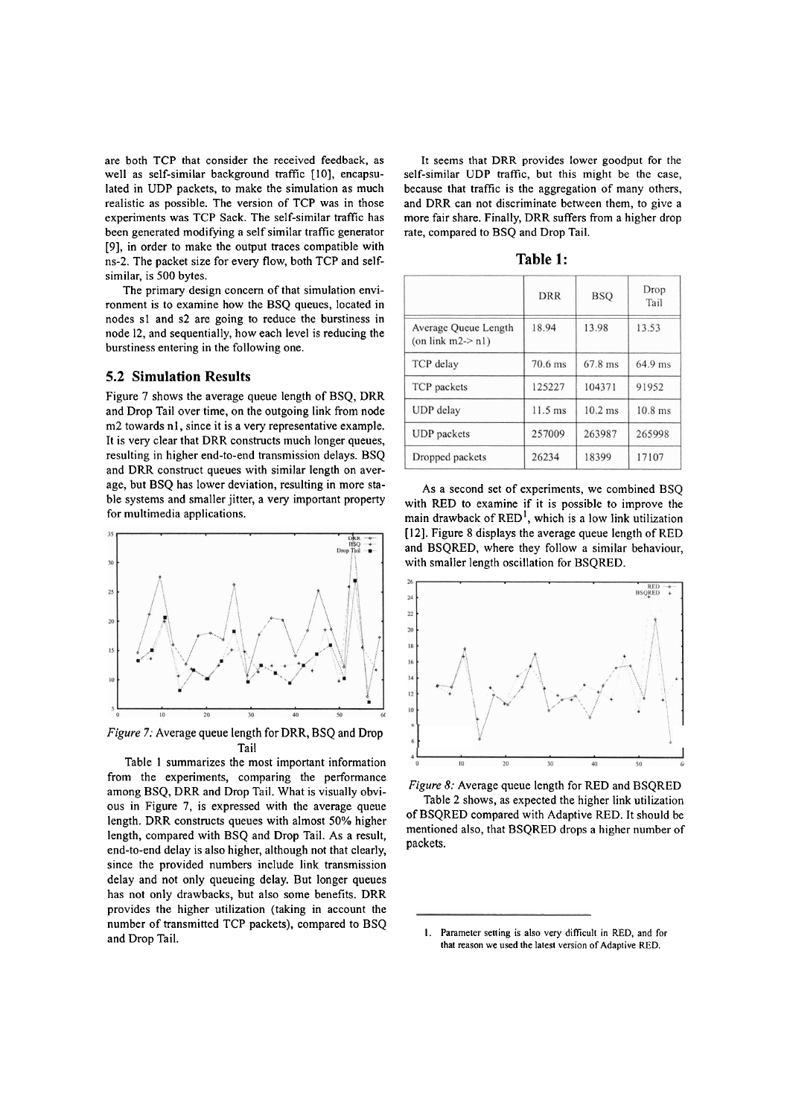are both TCP that consider the received feedback, as well as self-similar background traffic [10], encapsulated in UDP packets, to make the simulation as much realistic as possible. The version of TCP was in those experiments was TCP Sack. The self-similar traffic has been generated modifying a self similar traffic generator [9], in order to make the output traces compatible with ns-2. The packet size for every flow, both TCP and selfsimilar, is 500 bytes.

The primary design concern of that simulation environment is to examine how the BSQ queues, located in nodes sl and s2 are going to reduce the burstiness in node 12, and sequentially, how each level is reducing the burstiness entering in the following one.

#### **5.2 Simulation Results**

Figure **7** shows the average queue length of BSQ, DRR and Drop Tail over time, on the outgoing link from node m2 towards nl, since it is a very representative example. It is very clear that DRR constructs much longer queues, resulting in higher end-to-end transmission delays. BSQ and DRR construct queues with similar length on average, but BSQ has lower deviation, resulting in more stable systems and smaller jitter, a very important property for multimedia applications.



*Figure 7:* Average queue length for DRR, BSQ and Drop Tail

Table 1 summarizes the most important information from the experiments, comparing the performance among BSQ, DRR and Drop Tail. What is visually obvious in Figure 7, is expressed with the average queue length. DRR constructs queues with almost 50% higher length, compared with BSQ and Drop Tail. As a result, end-to-end delay is also higher, although not that clearly, since the provided numbers include link transmission delay and not only queueing delay. But longer queues has not only drawbacks, but also some benefits. DRR provides the higher utilization (taking in account the number of transmitted TCP packets), compared to BSQ and Drop Tail.

It seems that DRR provides lower goodput for the self-similar UDP trafic, but this might be the case, because that traffic is the aggregation of many others, and **DRR** can not discriminate between them, to give a more fair share. Finally, DRR suffers from a higher drop rate, compared to BSQ and Drop Tail.

| 1 r<br>DI |  |
|-----------|--|
|-----------|--|

|                                                | <b>DRR</b> | <b>BSO</b> | Drop<br>Tail |
|------------------------------------------------|------------|------------|--------------|
| Average Queue Length<br>(on link $m2 \ge n1$ ) | 18.94      | 13.98      | 13.53        |
| TCP delay                                      | 70.6 ms    | 67.8 ms    | 64.9 ms      |
| TCP packets                                    | 125227     | 104371     | 91952        |
| UDP delay                                      | $11.5$ ms  | $10.2$ ms  | $10.8$ ms    |
| <b>UDP</b> packets                             | 257009     | 263987     | 265998       |
| Dropped packets                                | 26234      | 18399      | 17107        |

As a second set of experiments, we combined BSQ with RED to examine if it is possible to improve the main drawback of  $RED<sup>1</sup>$ , which is a low link utilization [12]. Figure 8 displays the average queue length of RED and BSQRED, where they follow a similar behaviour, with smaller length oscillation for BSQRED.



*Figure 8:* Average queue length for RED and BSQRED Table 2 shows, as expected the higher link utilization of BSQRED compared with Adaptive RED. It should be mentioned also, that BSQRED drops a higher number of packets.

<sup>1.</sup> Parameter setting is also very difficult in RED, and for **that reason we used the latest venion of Adaptive RED.**